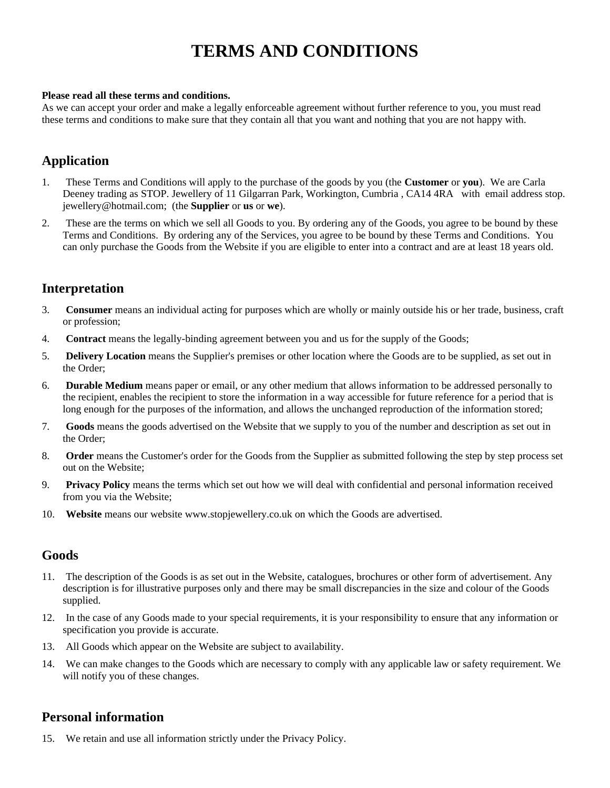# **TERMS AND CONDITIONS**

#### **Please read all these terms and conditions.**

As we can accept your order and make a legally enforceable agreement without further reference to you, you must read these terms and conditions to make sure that they contain all that you want and nothing that you are not happy with.

# **Application**

- 1. These Terms and Conditions will apply to the purchase of the goods by you (the **Customer** or **you**). We are Carla Deeney trading as STOP. Jewellery of 11 Gilgarran Park, Workington, Cumbria , CA14 4RA with email address stop. jewellery@hotmail.com; (the **Supplier** or **us** or **we**).
- 2. These are the terms on which we sell all Goods to you. By ordering any of the Goods, you agree to be bound by these Terms and Conditions. By ordering any of the Services, you agree to be bound by these Terms and Conditions. You can only purchase the Goods from the Website if you are eligible to enter into a contract and are at least 18 years old.

## **Interpretation**

- 3. **Consumer** means an individual acting for purposes which are wholly or mainly outside his or her trade, business, craft or profession;
- 4. **Contract** means the legally-binding agreement between you and us for the supply of the Goods;
- 5. **Delivery Location** means the Supplier's premises or other location where the Goods are to be supplied, as set out in the Order;
- 6. **Durable Medium** means paper or email, or any other medium that allows information to be addressed personally to the recipient, enables the recipient to store the information in a way accessible for future reference for a period that is long enough for the purposes of the information, and allows the unchanged reproduction of the information stored;
- 7. **Goods** means the goods advertised on the Website that we supply to you of the number and description as set out in the Order;
- 8. **Order** means the Customer's order for the Goods from the Supplier as submitted following the step by step process set out on the Website;
- 9. **Privacy Policy** means the terms which set out how we will deal with confidential and personal information received from you via the Website;
- 10. **Website** means our website www.stopjewellery.co.uk on which the Goods are advertised.

### **Goods**

- 11. The description of the Goods is as set out in the Website, catalogues, brochures or other form of advertisement. Any description is for illustrative purposes only and there may be small discrepancies in the size and colour of the Goods supplied.
- 12. In the case of any Goods made to your special requirements, it is your responsibility to ensure that any information or specification you provide is accurate.
- 13. All Goods which appear on the Website are subject to availability.
- 14. We can make changes to the Goods which are necessary to comply with any applicable law or safety requirement. We will notify you of these changes.

### **Personal information**

15. We retain and use all information strictly under the Privacy Policy.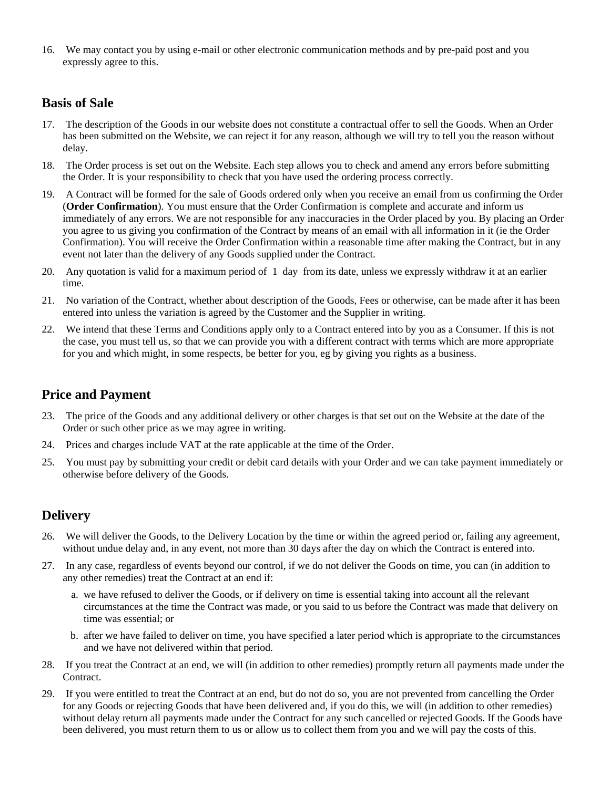16. We may contact you by using e-mail or other electronic communication methods and by pre-paid post and you expressly agree to this.

# **Basis of Sale**

- 17. The description of the Goods in our website does not constitute a contractual offer to sell the Goods. When an Order has been submitted on the Website, we can reject it for any reason, although we will try to tell you the reason without delay.
- 18. The Order process is set out on the Website. Each step allows you to check and amend any errors before submitting the Order. It is your responsibility to check that you have used the ordering process correctly.
- 19. A Contract will be formed for the sale of Goods ordered only when you receive an email from us confirming the Order (**Order Confirmation**). You must ensure that the Order Confirmation is complete and accurate and inform us immediately of any errors. We are not responsible for any inaccuracies in the Order placed by you. By placing an Order you agree to us giving you confirmation of the Contract by means of an email with all information in it (ie the Order Confirmation). You will receive the Order Confirmation within a reasonable time after making the Contract, but in any event not later than the delivery of any Goods supplied under the Contract.
- 20. Any quotation is valid for a maximum period of 1 day from its date, unless we expressly withdraw it at an earlier time.
- 21. No variation of the Contract, whether about description of the Goods, Fees or otherwise, can be made after it has been entered into unless the variation is agreed by the Customer and the Supplier in writing.
- 22. We intend that these Terms and Conditions apply only to a Contract entered into by you as a Consumer. If this is not the case, you must tell us, so that we can provide you with a different contract with terms which are more appropriate for you and which might, in some respects, be better for you, eg by giving you rights as a business.

## **Price and Payment**

- 23. The price of the Goods and any additional delivery or other charges is that set out on the Website at the date of the Order or such other price as we may agree in writing.
- 24. Prices and charges include VAT at the rate applicable at the time of the Order.
- 25. You must pay by submitting your credit or debit card details with your Order and we can take payment immediately or otherwise before delivery of the Goods.

## **Delivery**

- 26. We will deliver the Goods, to the Delivery Location by the time or within the agreed period or, failing any agreement, without undue delay and, in any event, not more than 30 days after the day on which the Contract is entered into.
- 27. In any case, regardless of events beyond our control, if we do not deliver the Goods on time, you can (in addition to any other remedies) treat the Contract at an end if:
	- a. we have refused to deliver the Goods, or if delivery on time is essential taking into account all the relevant circumstances at the time the Contract was made, or you said to us before the Contract was made that delivery on time was essential; or
	- b. after we have failed to deliver on time, you have specified a later period which is appropriate to the circumstances and we have not delivered within that period.
- 28. If you treat the Contract at an end, we will (in addition to other remedies) promptly return all payments made under the Contract.
- 29. If you were entitled to treat the Contract at an end, but do not do so, you are not prevented from cancelling the Order for any Goods or rejecting Goods that have been delivered and, if you do this, we will (in addition to other remedies) without delay return all payments made under the Contract for any such cancelled or rejected Goods. If the Goods have been delivered, you must return them to us or allow us to collect them from you and we will pay the costs of this.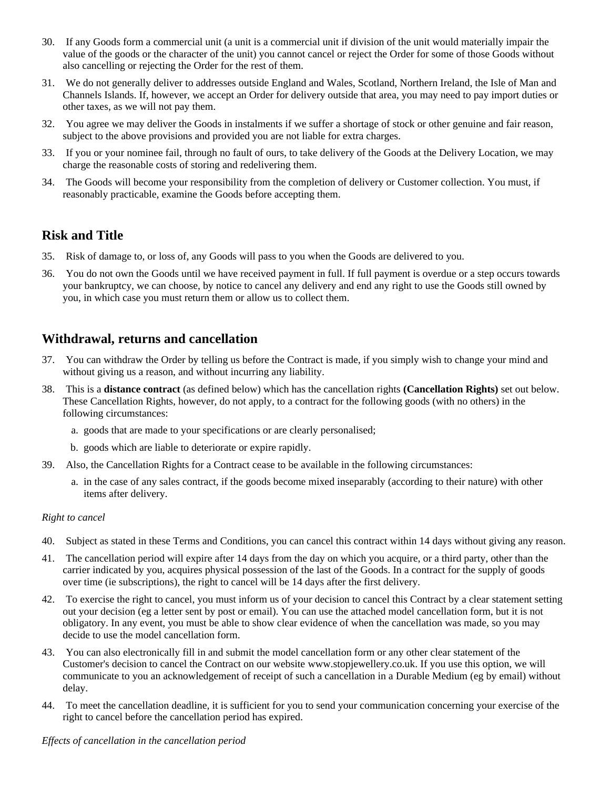- 30. If any Goods form a commercial unit (a unit is a commercial unit if division of the unit would materially impair the value of the goods or the character of the unit) you cannot cancel or reject the Order for some of those Goods without also cancelling or rejecting the Order for the rest of them.
- 31. We do not generally deliver to addresses outside England and Wales, Scotland, Northern Ireland, the Isle of Man and Channels Islands. If, however, we accept an Order for delivery outside that area, you may need to pay import duties or other taxes, as we will not pay them.
- 32. You agree we may deliver the Goods in instalments if we suffer a shortage of stock or other genuine and fair reason, subject to the above provisions and provided you are not liable for extra charges.
- 33. If you or your nominee fail, through no fault of ours, to take delivery of the Goods at the Delivery Location, we may charge the reasonable costs of storing and redelivering them.
- 34. The Goods will become your responsibility from the completion of delivery or Customer collection. You must, if reasonably practicable, examine the Goods before accepting them.

## **Risk and Title**

- 35. Risk of damage to, or loss of, any Goods will pass to you when the Goods are delivered to you.
- 36. You do not own the Goods until we have received payment in full. If full payment is overdue or a step occurs towards your bankruptcy, we can choose, by notice to cancel any delivery and end any right to use the Goods still owned by you, in which case you must return them or allow us to collect them.

## **Withdrawal, returns and cancellation**

- 37. You can withdraw the Order by telling us before the Contract is made, if you simply wish to change your mind and without giving us a reason, and without incurring any liability.
- 38. This is a **distance contract** (as defined below) which has the cancellation rights **(Cancellation Rights)** set out below. These Cancellation Rights, however, do not apply, to a contract for the following goods (with no others) in the following circumstances:
	- a. goods that are made to your specifications or are clearly personalised;
	- b. goods which are liable to deteriorate or expire rapidly.
- 39. Also, the Cancellation Rights for a Contract cease to be available in the following circumstances:
	- a. in the case of any sales contract, if the goods become mixed inseparably (according to their nature) with other items after delivery.

#### *Right to cancel*

- 40. Subject as stated in these Terms and Conditions, you can cancel this contract within 14 days without giving any reason.
- 41. The cancellation period will expire after 14 days from the day on which you acquire, or a third party, other than the carrier indicated by you, acquires physical possession of the last of the Goods. In a contract for the supply of goods over time (ie subscriptions), the right to cancel will be 14 days after the first delivery.
- 42. To exercise the right to cancel, you must inform us of your decision to cancel this Contract by a clear statement setting out your decision (eg a letter sent by post or email). You can use the attached model cancellation form, but it is not obligatory. In any event, you must be able to show clear evidence of when the cancellation was made, so you may decide to use the model cancellation form.
- 43. You can also electronically fill in and submit the model cancellation form or any other clear statement of the Customer's decision to cancel the Contract on our website www.stopjewellery.co.uk. If you use this option, we will communicate to you an acknowledgement of receipt of such a cancellation in a Durable Medium (eg by email) without delay.
- 44. To meet the cancellation deadline, it is sufficient for you to send your communication concerning your exercise of the right to cancel before the cancellation period has expired.

#### *Effects of cancellation in the cancellation period*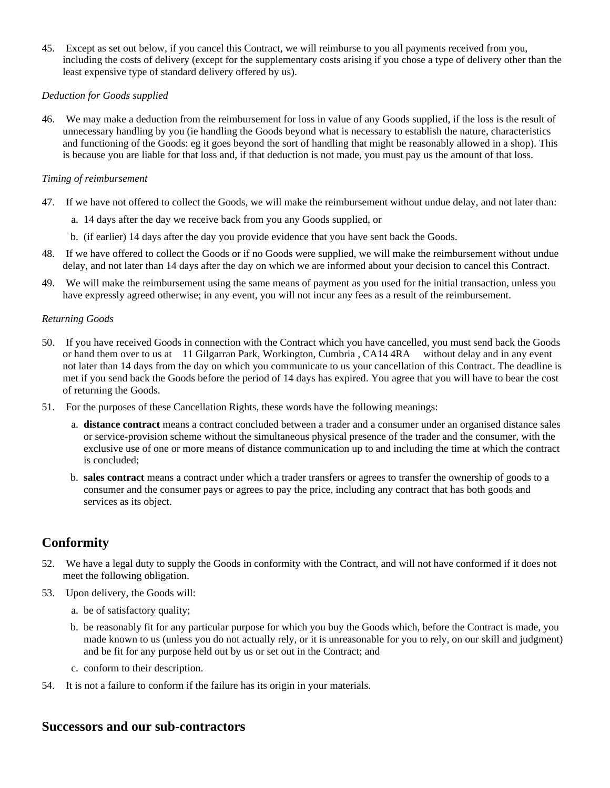45. Except as set out below, if you cancel this Contract, we will reimburse to you all payments received from you, including the costs of delivery (except for the supplementary costs arising if you chose a type of delivery other than the least expensive type of standard delivery offered by us).

#### *Deduction for Goods supplied*

46. We may make a deduction from the reimbursement for loss in value of any Goods supplied, if the loss is the result of unnecessary handling by you (ie handling the Goods beyond what is necessary to establish the nature, characteristics and functioning of the Goods: eg it goes beyond the sort of handling that might be reasonably allowed in a shop). This is because you are liable for that loss and, if that deduction is not made, you must pay us the amount of that loss.

#### *Timing of reimbursement*

- 47. If we have not offered to collect the Goods, we will make the reimbursement without undue delay, and not later than:
	- a. 14 days after the day we receive back from you any Goods supplied, or
	- b. (if earlier) 14 days after the day you provide evidence that you have sent back the Goods.
- 48. If we have offered to collect the Goods or if no Goods were supplied, we will make the reimbursement without undue delay, and not later than 14 days after the day on which we are informed about your decision to cancel this Contract.
- 49. We will make the reimbursement using the same means of payment as you used for the initial transaction, unless you have expressly agreed otherwise; in any event, you will not incur any fees as a result of the reimbursement.

#### *Returning Goods*

- 50. If you have received Goods in connection with the Contract which you have cancelled, you must send back the Goods or hand them over to us at 11 Gilgarran Park, Workington, Cumbria , CA14 4RA without delay and in any event not later than 14 days from the day on which you communicate to us your cancellation of this Contract. The deadline is met if you send back the Goods before the period of 14 days has expired. You agree that you will have to bear the cost of returning the Goods.
- 51. For the purposes of these Cancellation Rights, these words have the following meanings:
	- a. **distance contract** means a contract concluded between a trader and a consumer under an organised distance sales or service-provision scheme without the simultaneous physical presence of the trader and the consumer, with the exclusive use of one or more means of distance communication up to and including the time at which the contract is concluded;
	- b. **sales contract** means a contract under which a trader transfers or agrees to transfer the ownership of goods to a consumer and the consumer pays or agrees to pay the price, including any contract that has both goods and services as its object.

## **Conformity**

- 52. We have a legal duty to supply the Goods in conformity with the Contract, and will not have conformed if it does not meet the following obligation.
- 53. Upon delivery, the Goods will:
	- a. be of satisfactory quality;
	- b. be reasonably fit for any particular purpose for which you buy the Goods which, before the Contract is made, you made known to us (unless you do not actually rely, or it is unreasonable for you to rely, on our skill and judgment) and be fit for any purpose held out by us or set out in the Contract; and
	- c. conform to their description.
- 54. It is not a failure to conform if the failure has its origin in your materials.

### **Successors and our sub-contractors**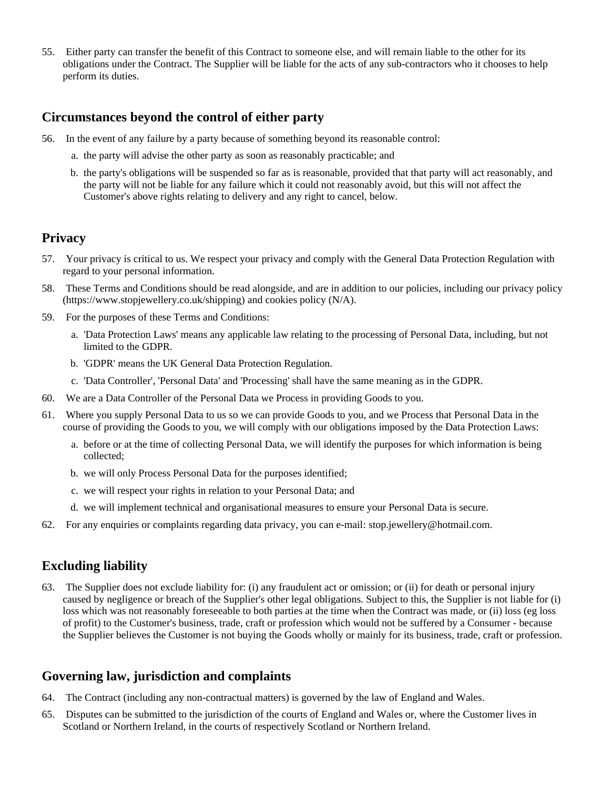55. Either party can transfer the benefit of this Contract to someone else, and will remain liable to the other for its obligations under the Contract. The Supplier will be liable for the acts of any sub-contractors who it chooses to help perform its duties.

### **Circumstances beyond the control of either party**

- 56. In the event of any failure by a party because of something beyond its reasonable control:
	- a. the party will advise the other party as soon as reasonably practicable; and
	- b. the party's obligations will be suspended so far as is reasonable, provided that that party will act reasonably, and the party will not be liable for any failure which it could not reasonably avoid, but this will not affect the Customer's above rights relating to delivery and any right to cancel, below.

### **Privacy**

- 57. Your privacy is critical to us. We respect your privacy and comply with the General Data Protection Regulation with regard to your personal information.
- 58. These Terms and Conditions should be read alongside, and are in addition to our policies, including our privacy policy (https://www.stopjewellery.co.uk/shipping) and cookies policy (N/A).
- 59. For the purposes of these Terms and Conditions:
	- a. 'Data Protection Laws' means any applicable law relating to the processing of Personal Data, including, but not limited to the GDPR.
	- b. 'GDPR' means the UK General Data Protection Regulation.
	- c. 'Data Controller', 'Personal Data' and 'Processing' shall have the same meaning as in the GDPR.
- 60. We are a Data Controller of the Personal Data we Process in providing Goods to you.
- 61. Where you supply Personal Data to us so we can provide Goods to you, and we Process that Personal Data in the course of providing the Goods to you, we will comply with our obligations imposed by the Data Protection Laws:
	- a. before or at the time of collecting Personal Data, we will identify the purposes for which information is being collected;
	- b. we will only Process Personal Data for the purposes identified;
	- c. we will respect your rights in relation to your Personal Data; and
	- d. we will implement technical and organisational measures to ensure your Personal Data is secure.
- 62. For any enquiries or complaints regarding data privacy, you can e-mail: stop.jewellery@hotmail.com.

# **Excluding liability**

63. The Supplier does not exclude liability for: (i) any fraudulent act or omission; or (ii) for death or personal injury caused by negligence or breach of the Supplier's other legal obligations. Subject to this, the Supplier is not liable for (i) loss which was not reasonably foreseeable to both parties at the time when the Contract was made, or (ii) loss (eg loss of profit) to the Customer's business, trade, craft or profession which would not be suffered by a Consumer - because the Supplier believes the Customer is not buying the Goods wholly or mainly for its business, trade, craft or profession.

## **Governing law, jurisdiction and complaints**

- 64. The Contract (including any non-contractual matters) is governed by the law of England and Wales.
- 65. Disputes can be submitted to the jurisdiction of the courts of England and Wales or, where the Customer lives in Scotland or Northern Ireland, in the courts of respectively Scotland or Northern Ireland.